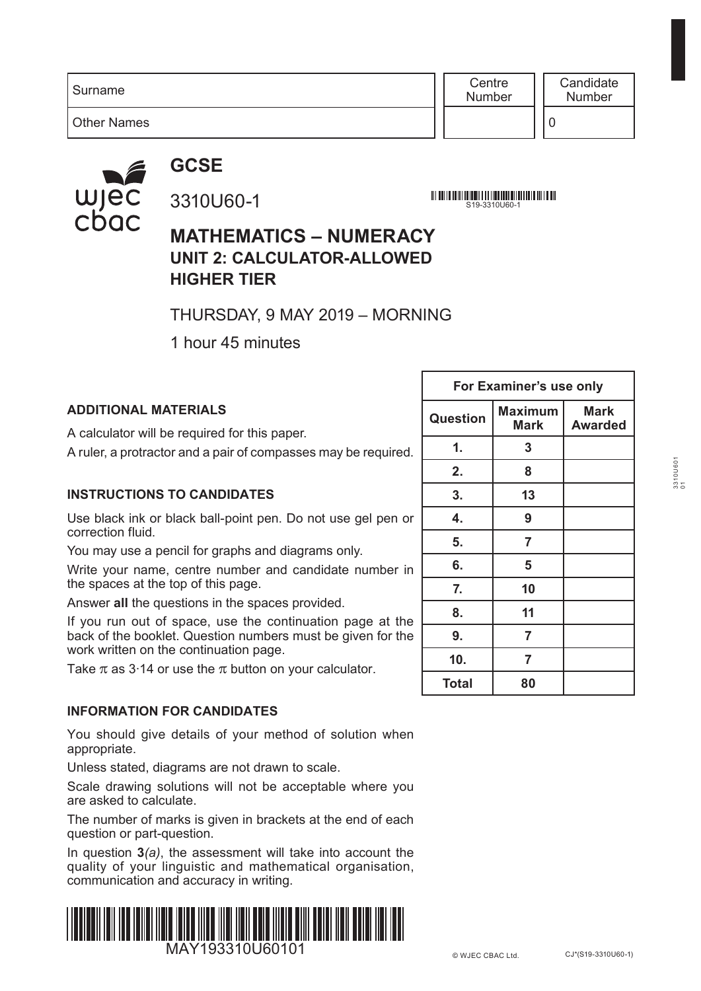Surname

Other Names

**Centre** Number

0

### **GCSE**



### 3310U60-1

S19-3310U60-1

#### **MATHEMATICS – NUMERACY UNIT 2: CALCULATOR-ALLOWED HIGHER TIER**

THURSDAY, 9 MAY 2019 – MORNING

1 hour 45 minutes

#### **ADDITIONAL MATERIALS**

A calculator will be required for this paper.

A ruler, a protractor and a pair of compasses may be required.

#### **INSTRUCTIONS TO CANDIDATES**

Use black ink or black ball-point pen. Do not use gel pen or correction fluid.

You may use a pencil for graphs and diagrams only.

Write your name, centre number and candidate number in the spaces at the top of this page.

Answer **all** the questions in the spaces provided.

If you run out of space, use the continuation page at the back of the booklet. Question numbers must be given for the work written on the continuation page.

Take  $\pi$  as 3.14 or use the  $\pi$  button on your calculator.

#### **INFORMATION FOR CANDIDATES**

You should give details of your method of solution when appropriate.

Unless stated, diagrams are not drawn to scale.

Scale drawing solutions will not be acceptable where you are asked to calculate.

The number of marks is given in brackets at the end of each question or part-question.

In question **3***(a)*, the assessment will take into account the quality of your linguistic and mathematical organisation, communication and accuracy in writing.



|                 | For Examiner's use only |                               |
|-----------------|-------------------------|-------------------------------|
| <b>Question</b> | <b>Maximum</b><br>Mark  | <b>Mark</b><br><b>Awarded</b> |
| 1.              | 3                       |                               |
| 2.              | 8                       |                               |
| 3.              | 13                      |                               |
| 4.              | 9                       |                               |
| 5.              | 7                       |                               |
| 6.              | 5                       |                               |
| 7.              | 10                      |                               |
| 8.              | 11                      |                               |
| 9.              | 7                       |                               |
| 10.             | 7                       |                               |
| Total           | 80                      |                               |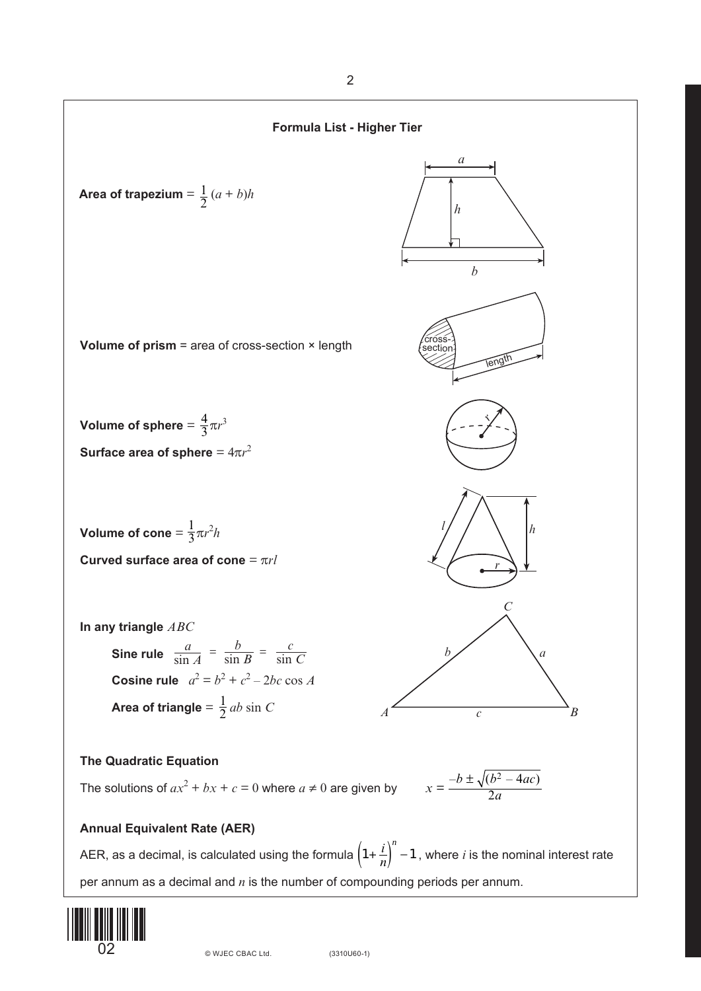

AER, as a decimal, is calculated using the formula  $\left(1+\frac{i}{n}\right)^n-1$  , where *i* is the nominal interest rate per annum as a decimal and *n* is the number of compounding periods per annum.

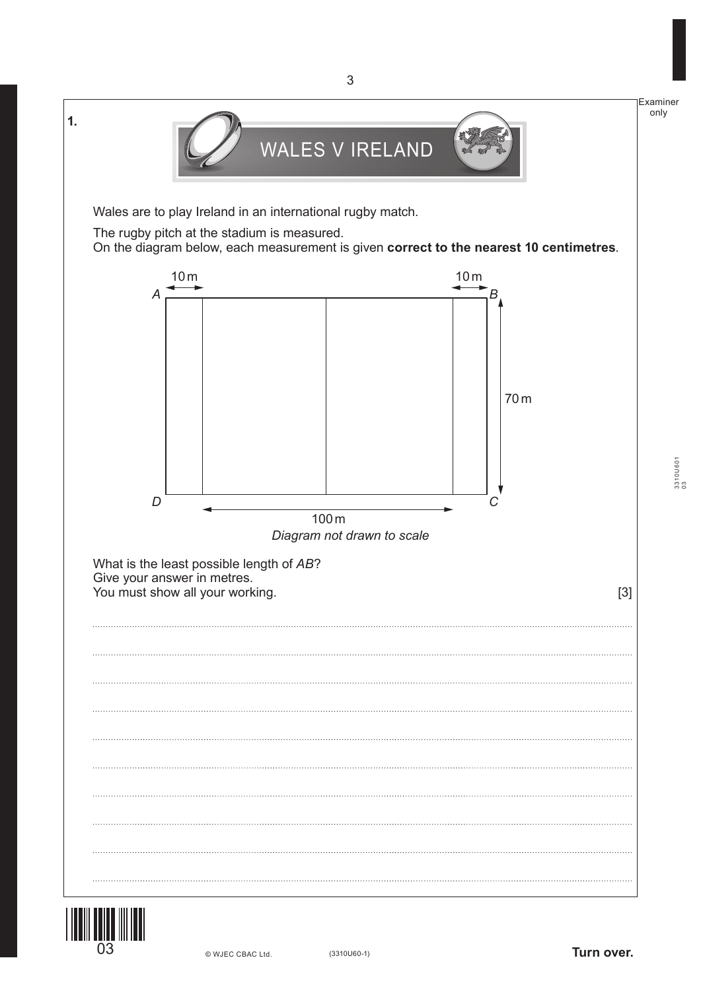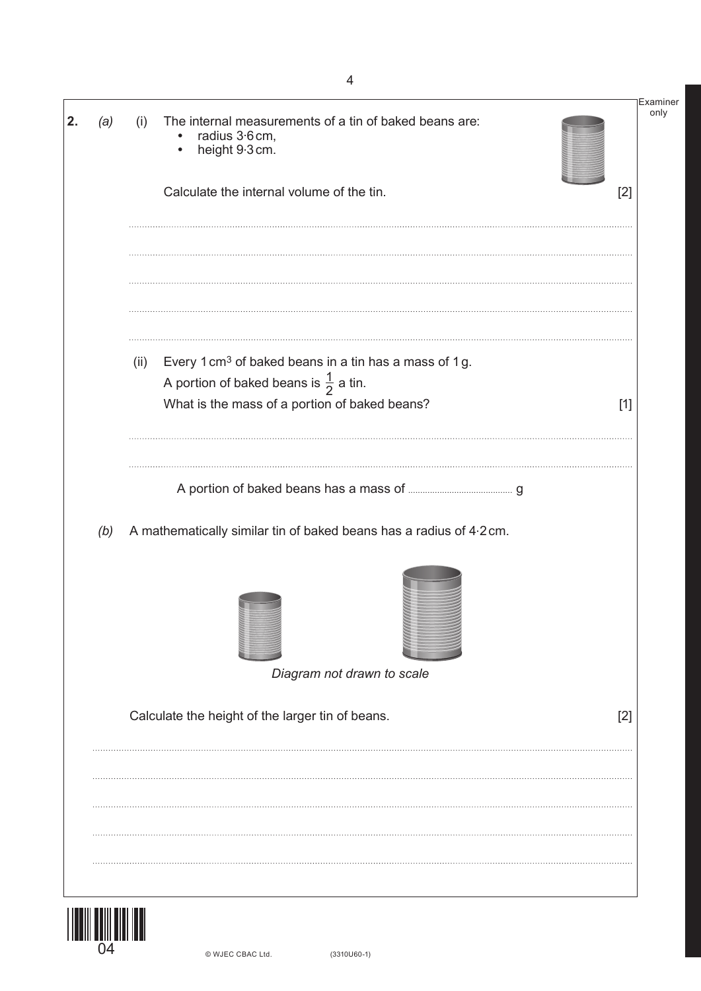| (i)  | The internal measurements of a tin of baked beans are:<br>radius 3.6 cm,<br>$\bullet$<br>height 9.3 cm.<br>$\bullet$   |                                                                                                                                                                          | Examiner<br>only |
|------|------------------------------------------------------------------------------------------------------------------------|--------------------------------------------------------------------------------------------------------------------------------------------------------------------------|------------------|
|      | Calculate the internal volume of the tin.                                                                              | $[2]$                                                                                                                                                                    |                  |
|      |                                                                                                                        |                                                                                                                                                                          |                  |
| (ii) | Every 1 cm <sup>3</sup> of baked beans in a tin has a mass of 1 g.<br>A portion of baked beans is $\frac{1}{2}$ a tin. |                                                                                                                                                                          |                  |
|      |                                                                                                                        | $[1]$                                                                                                                                                                    |                  |
|      |                                                                                                                        |                                                                                                                                                                          |                  |
|      |                                                                                                                        |                                                                                                                                                                          |                  |
|      |                                                                                                                        |                                                                                                                                                                          |                  |
|      | Diagram not drawn to scale                                                                                             |                                                                                                                                                                          |                  |
|      |                                                                                                                        | $[2]$                                                                                                                                                                    |                  |
|      |                                                                                                                        |                                                                                                                                                                          |                  |
|      |                                                                                                                        |                                                                                                                                                                          |                  |
|      |                                                                                                                        |                                                                                                                                                                          |                  |
|      |                                                                                                                        |                                                                                                                                                                          |                  |
|      |                                                                                                                        | What is the mass of a portion of baked beans?<br>A mathematically similar tin of baked beans has a radius of 4.2 cm.<br>Calculate the height of the larger tin of beans. |                  |

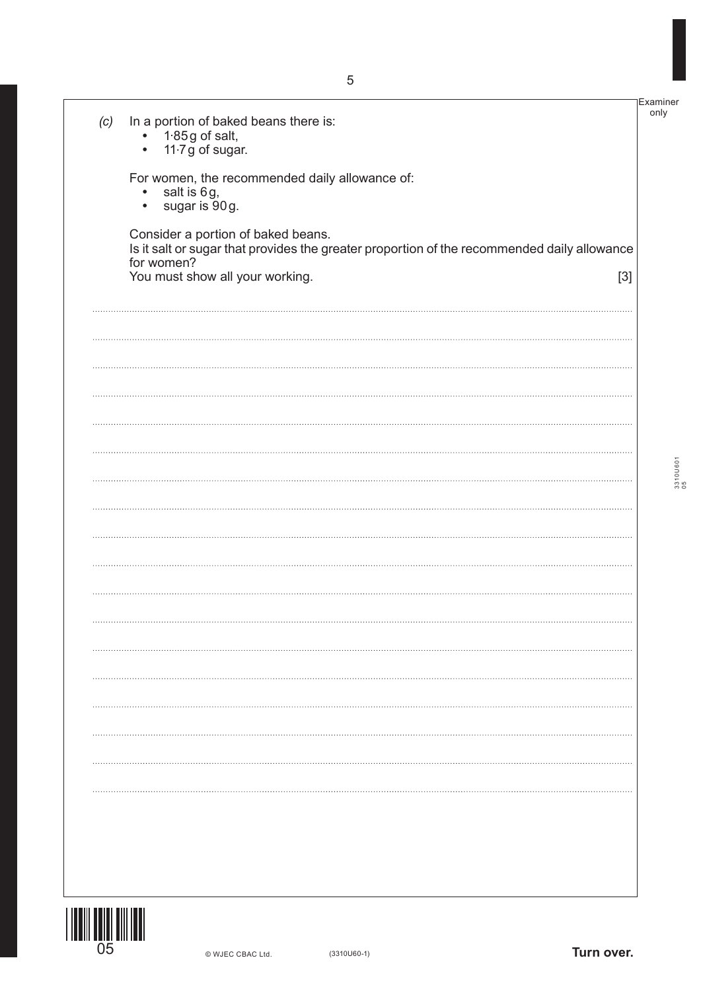|     |                                                                                                                                   | ∣Examineı |
|-----|-----------------------------------------------------------------------------------------------------------------------------------|-----------|
| (c) | In a portion of baked beans there is:<br>$\bullet$ 1.85g of salt,                                                                 | only      |
|     | 11.7 g of sugar.<br>$\bullet$                                                                                                     |           |
|     | For women, the recommended daily allowance of:<br>salt is 6g,<br>$\bullet$                                                        |           |
|     | sugar is 90g.<br>$\bullet$                                                                                                        |           |
|     | Consider a portion of baked beans.<br>Is it salt or sugar that provides the greater proportion of the recommended daily allowance |           |
|     | for women?<br>You must show all your working.<br>$[3]$                                                                            |           |
|     |                                                                                                                                   |           |
|     |                                                                                                                                   |           |
|     |                                                                                                                                   |           |
|     |                                                                                                                                   |           |
|     |                                                                                                                                   |           |
|     |                                                                                                                                   |           |
|     |                                                                                                                                   | 22101160  |
|     |                                                                                                                                   |           |
|     |                                                                                                                                   |           |
|     |                                                                                                                                   |           |
|     |                                                                                                                                   |           |
|     |                                                                                                                                   |           |
|     |                                                                                                                                   |           |
|     |                                                                                                                                   |           |
|     |                                                                                                                                   |           |
|     |                                                                                                                                   |           |
|     |                                                                                                                                   |           |
|     |                                                                                                                                   |           |
|     |                                                                                                                                   |           |
|     |                                                                                                                                   |           |
|     |                                                                                                                                   |           |

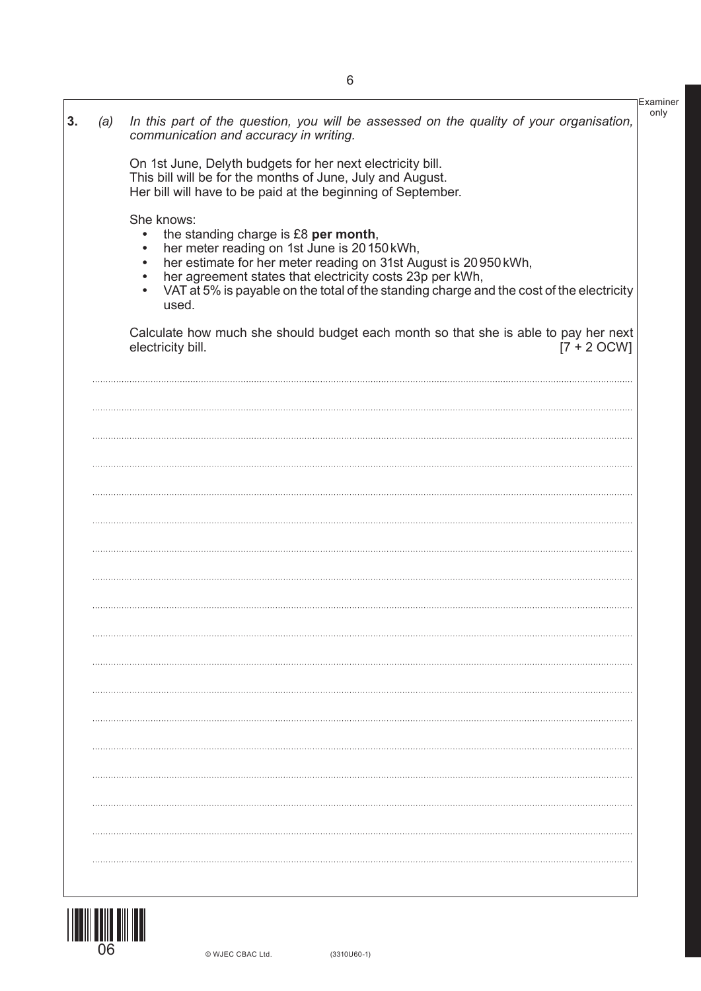|     |                                                                                                                                                                                                                                                                        | Examiner |
|-----|------------------------------------------------------------------------------------------------------------------------------------------------------------------------------------------------------------------------------------------------------------------------|----------|
| (a) | In this part of the question, you will be assessed on the quality of your organisation,<br>communication and accuracy in writing.                                                                                                                                      | only     |
|     | On 1st June, Delyth budgets for her next electricity bill.<br>This bill will be for the months of June, July and August.<br>Her bill will have to be paid at the beginning of September.                                                                               |          |
|     | She knows:                                                                                                                                                                                                                                                             |          |
|     | the standing charge is £8 per month,<br>$\bullet$<br>her meter reading on 1st June is 20150 kWh,<br>$\bullet$<br>her estimate for her meter reading on 31st August is 20950 kWh,<br>$\bullet$<br>her agreement states that electricity costs 23p per kWh,<br>$\bullet$ |          |
|     | VAT at 5% is payable on the total of the standing charge and the cost of the electricity<br>$\bullet$<br>used.                                                                                                                                                         |          |
|     | Calculate how much she should budget each month so that she is able to pay her next<br>$[7 + 2 OCW]$<br>electricity bill.                                                                                                                                              |          |
|     |                                                                                                                                                                                                                                                                        |          |
|     |                                                                                                                                                                                                                                                                        |          |
|     |                                                                                                                                                                                                                                                                        |          |
|     |                                                                                                                                                                                                                                                                        |          |
|     |                                                                                                                                                                                                                                                                        |          |
|     |                                                                                                                                                                                                                                                                        |          |
|     |                                                                                                                                                                                                                                                                        |          |
|     |                                                                                                                                                                                                                                                                        |          |
|     |                                                                                                                                                                                                                                                                        |          |
|     |                                                                                                                                                                                                                                                                        |          |
|     |                                                                                                                                                                                                                                                                        |          |
|     |                                                                                                                                                                                                                                                                        |          |
|     |                                                                                                                                                                                                                                                                        |          |
|     |                                                                                                                                                                                                                                                                        |          |
|     |                                                                                                                                                                                                                                                                        |          |
|     |                                                                                                                                                                                                                                                                        |          |
|     |                                                                                                                                                                                                                                                                        |          |
|     |                                                                                                                                                                                                                                                                        |          |
|     |                                                                                                                                                                                                                                                                        |          |

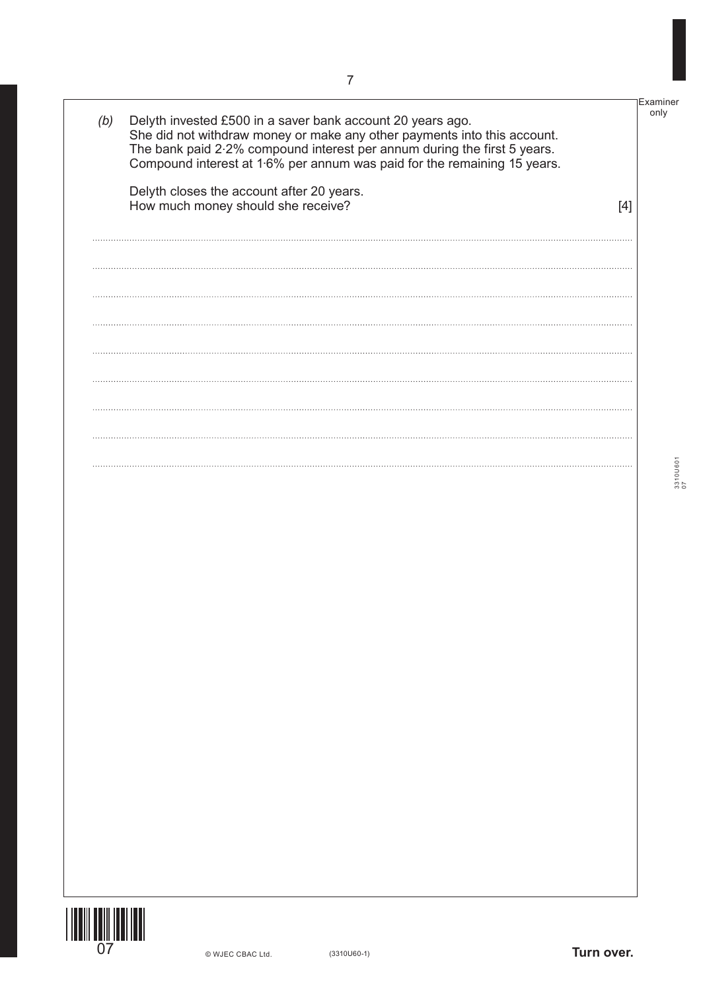| (b) | Delyth invested £500 in a saver bank account 20 years ago.<br>She did not withdraw money or make any other payments into this account.<br>The bank paid 2.2% compound interest per annum during the first 5 years.<br>Compound interest at 1.6% per annum was paid for the remaining 15 years. |     | Examiner<br>only |
|-----|------------------------------------------------------------------------------------------------------------------------------------------------------------------------------------------------------------------------------------------------------------------------------------------------|-----|------------------|
|     | Delyth closes the account after 20 years.<br>How much money should she receive?                                                                                                                                                                                                                | [4] |                  |
|     |                                                                                                                                                                                                                                                                                                |     |                  |
|     |                                                                                                                                                                                                                                                                                                |     |                  |
|     |                                                                                                                                                                                                                                                                                                |     |                  |
|     |                                                                                                                                                                                                                                                                                                |     |                  |
|     |                                                                                                                                                                                                                                                                                                |     |                  |
|     |                                                                                                                                                                                                                                                                                                |     |                  |
|     |                                                                                                                                                                                                                                                                                                |     |                  |
|     |                                                                                                                                                                                                                                                                                                |     |                  |
|     |                                                                                                                                                                                                                                                                                                |     |                  |
|     |                                                                                                                                                                                                                                                                                                |     |                  |
|     |                                                                                                                                                                                                                                                                                                |     |                  |
|     |                                                                                                                                                                                                                                                                                                |     |                  |
|     |                                                                                                                                                                                                                                                                                                |     |                  |

3310U601 3310U601<br>07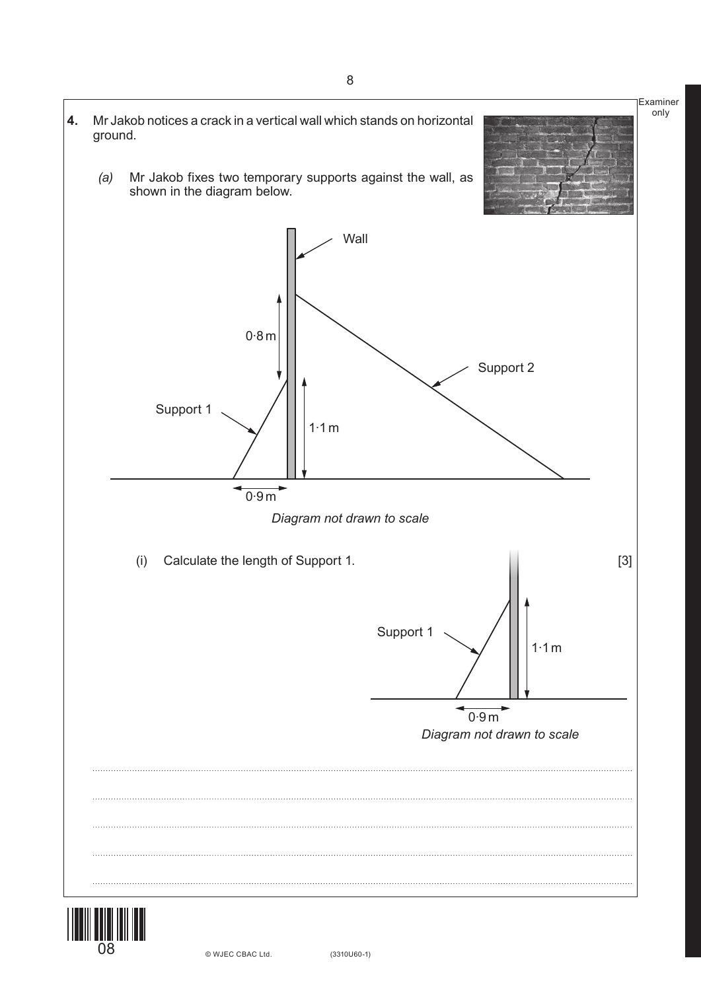

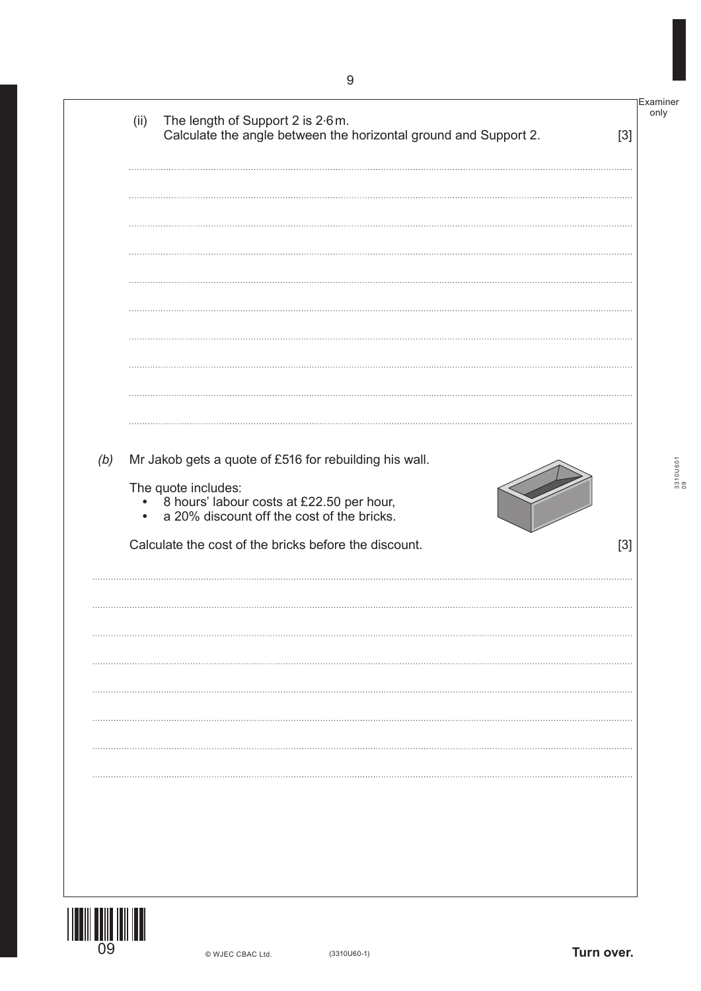|     | (ii)      | The length of Support 2 is 2.6m.<br>Calculate the angle between the horizontal ground and Support 2.           | only<br>$[3]$ |
|-----|-----------|----------------------------------------------------------------------------------------------------------------|---------------|
|     |           |                                                                                                                |               |
|     |           |                                                                                                                |               |
|     |           |                                                                                                                |               |
|     |           |                                                                                                                |               |
| (b) |           | Mr Jakob gets a quote of £516 for rebuilding his wall.                                                         |               |
|     | $\bullet$ | The quote includes:<br>8 hours' labour costs at £22.50 per hour,<br>a 20% discount off the cost of the bricks. |               |
|     |           |                                                                                                                |               |
|     |           | Calculate the cost of the bricks before the discount.                                                          | $[3]$         |
|     |           |                                                                                                                |               |
|     |           |                                                                                                                |               |
|     |           |                                                                                                                |               |
|     |           |                                                                                                                |               |
|     |           |                                                                                                                |               |
| 09  |           |                                                                                                                |               |

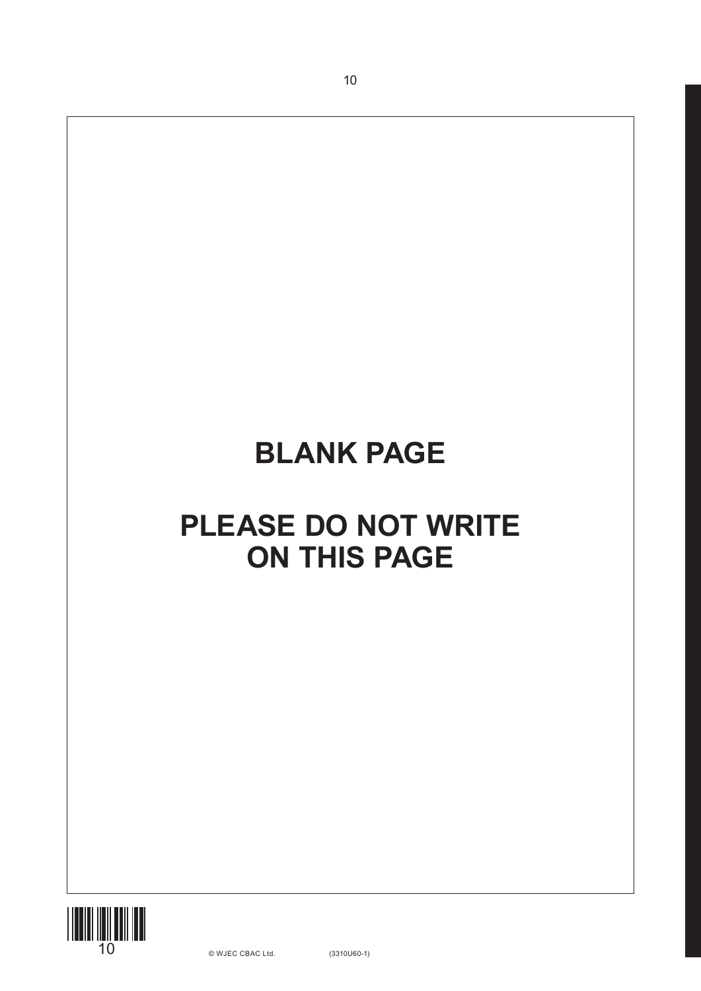10

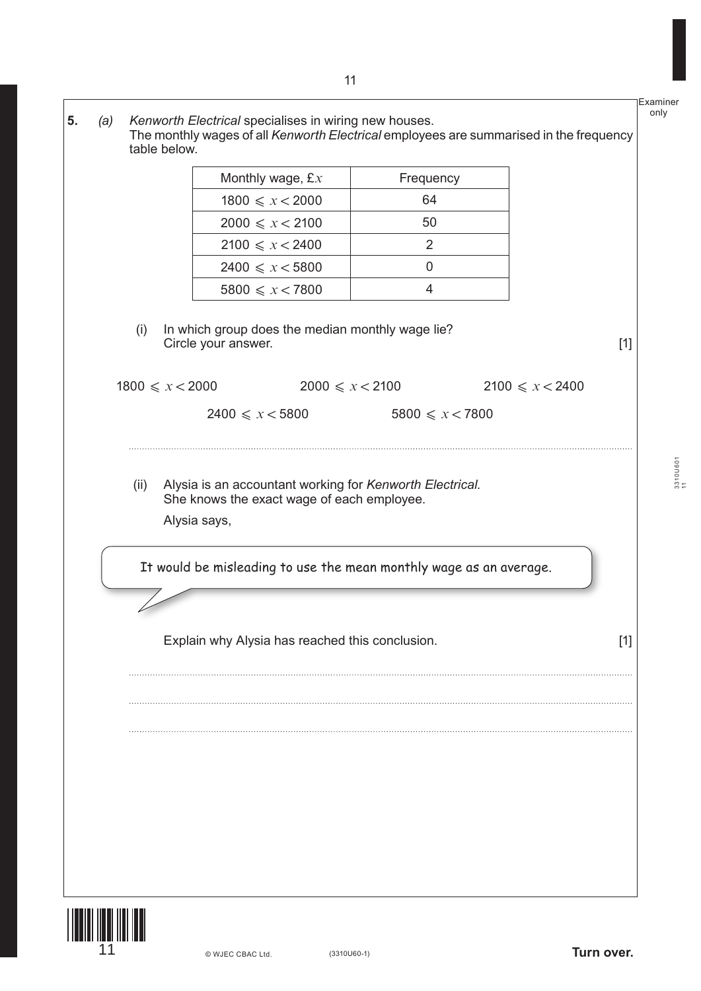**5.** *(a) Kenworth Electrical* specialises in wiring new houses. The monthly wages of all *Kenworth Electrical* employees are summarised in the frequency table below.

| Monthly wage, $\pounds x$ | Frequency |
|---------------------------|-----------|
| $1800 \leqslant x < 2000$ | 64        |
| $2000 \le x < 2100$       | 50        |
| $2100 \le x < 2400$       | 2         |
| $2400 \leqslant x < 5800$ |           |
| $5800 \leqslant x < 7800$ |           |

<sup>(</sup>i) In which group does the median monthly wage lie? Circle your answer. [1]

| $1800 \leqslant x \leqslant 2000$ | $2000 \leqslant x \leqslant 2100$ | $2100 \le x < 2400$       |
|-----------------------------------|-----------------------------------|---------------------------|
| $2400 \leq x < 5800$              |                                   | $5800 \leqslant x < 7800$ |

(ii) Alysia is an accountant working for *Kenworth Electrical*. She knows the exact wage of each employee. Alysia says,

It would be misleading to use the mean monthly wage as an average.

Explain why Alysia has reached this conclusion. [1]



3310U601 3310U601<br>11

Examiner only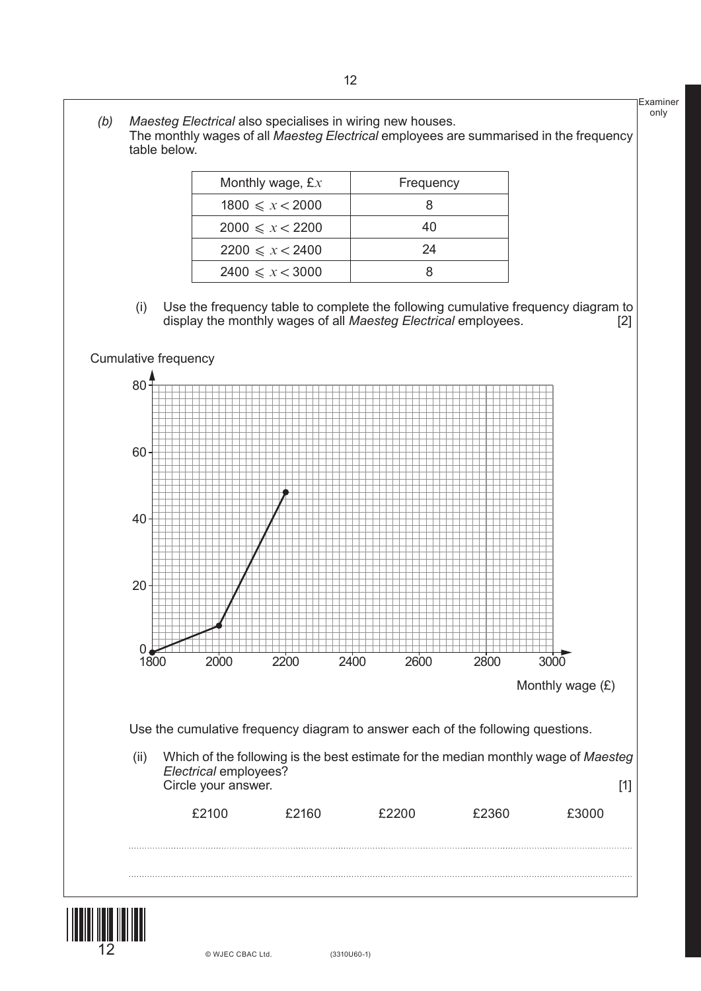Examiner only Monthly wage, £x Frequency  $1800 \le x < 2000$  8  $2000 \le x < 2200$  40  $2200 \le x < 2400$  24  $2400 \le x < 3000$  8 *(b) Maesteg Electrical* also specialises in wiring new houses. The monthly wages of all *Maesteg Electrical* employees are summarised in the frequency table below. (i) Use the frequency table to complete the following cumulative frequency diagram to display the monthly wages of all *Maesteg Electrical* employees. [2] 1800 2000 2200 2400 2600 2800 3000 0<br>1800 20 40 60 80 Cumulative frequency Monthly wage (£) Use the cumulative frequency diagram to answer each of the following questions. (ii) Which of the following is the best estimate for the median monthly wage of *Maesteg Electrical* employees? Circle your answer. [1] £2100 £2160 £2200 £2360 £3000



12 © WJEC CBAC Ltd.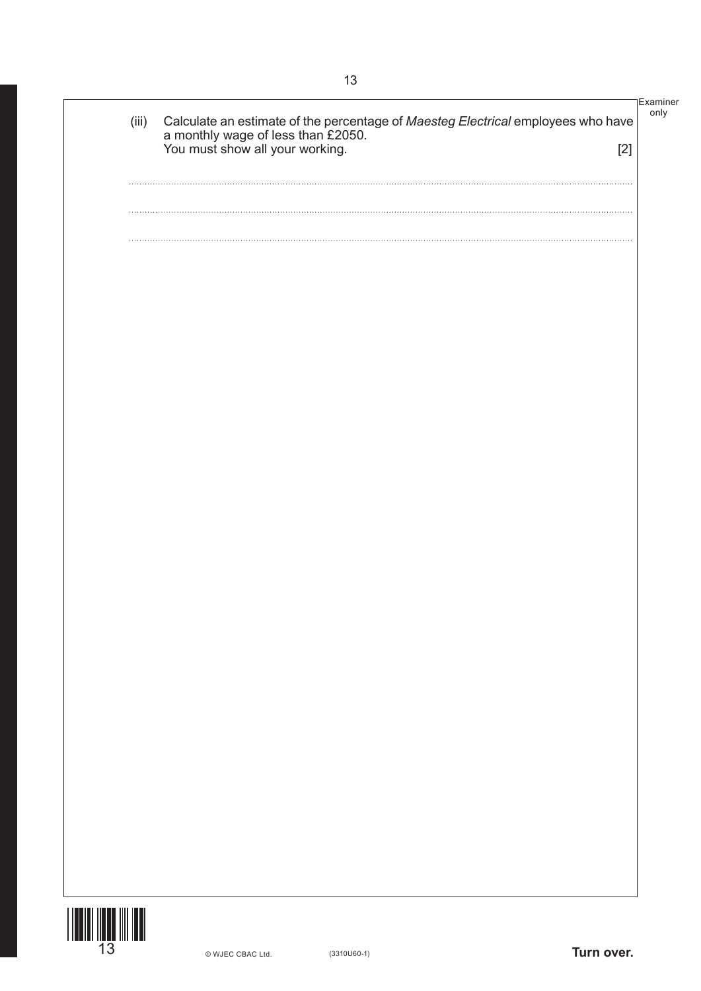|          |                                                                                                                                                                      | <b>Examiner</b> |
|----------|----------------------------------------------------------------------------------------------------------------------------------------------------------------------|-----------------|
| (iii)    | Calculate an estimate of the percentage of <i>Maesteg Electrical</i> employees who have<br>a monthly wage of less than £2050.<br>You must show all your working. [2] | only            |
|          |                                                                                                                                                                      |                 |
|          |                                                                                                                                                                      |                 |
|          |                                                                                                                                                                      |                 |
|          |                                                                                                                                                                      |                 |
|          |                                                                                                                                                                      |                 |
| $\cdots$ |                                                                                                                                                                      |                 |
|          |                                                                                                                                                                      |                 |
| $\cdots$ |                                                                                                                                                                      |                 |
|          |                                                                                                                                                                      |                 |
|          |                                                                                                                                                                      |                 |
|          |                                                                                                                                                                      |                 |
|          |                                                                                                                                                                      |                 |
|          |                                                                                                                                                                      |                 |
|          |                                                                                                                                                                      |                 |
|          |                                                                                                                                                                      |                 |
|          |                                                                                                                                                                      |                 |
|          |                                                                                                                                                                      |                 |
|          |                                                                                                                                                                      |                 |
|          |                                                                                                                                                                      |                 |
|          |                                                                                                                                                                      |                 |
|          |                                                                                                                                                                      |                 |
|          |                                                                                                                                                                      |                 |
|          |                                                                                                                                                                      |                 |
|          |                                                                                                                                                                      |                 |
|          |                                                                                                                                                                      |                 |
|          |                                                                                                                                                                      |                 |
|          |                                                                                                                                                                      |                 |
|          |                                                                                                                                                                      |                 |
|          |                                                                                                                                                                      |                 |
|          |                                                                                                                                                                      |                 |
|          |                                                                                                                                                                      |                 |
|          |                                                                                                                                                                      |                 |
|          |                                                                                                                                                                      |                 |
|          |                                                                                                                                                                      |                 |
|          |                                                                                                                                                                      |                 |
|          |                                                                                                                                                                      |                 |
|          |                                                                                                                                                                      |                 |
|          |                                                                                                                                                                      |                 |
|          |                                                                                                                                                                      |                 |
|          |                                                                                                                                                                      |                 |
|          |                                                                                                                                                                      |                 |
|          |                                                                                                                                                                      |                 |
|          |                                                                                                                                                                      |                 |
|          |                                                                                                                                                                      |                 |
|          |                                                                                                                                                                      |                 |
|          |                                                                                                                                                                      |                 |
|          |                                                                                                                                                                      |                 |
|          |                                                                                                                                                                      |                 |
|          |                                                                                                                                                                      |                 |
|          |                                                                                                                                                                      |                 |
|          |                                                                                                                                                                      |                 |
|          |                                                                                                                                                                      |                 |
|          |                                                                                                                                                                      |                 |
|          |                                                                                                                                                                      |                 |
|          |                                                                                                                                                                      |                 |
|          |                                                                                                                                                                      |                 |
|          |                                                                                                                                                                      |                 |
|          | Turn over.<br>© WJEC CBAC Ltd.<br>$(3310U60-1)$                                                                                                                      |                 |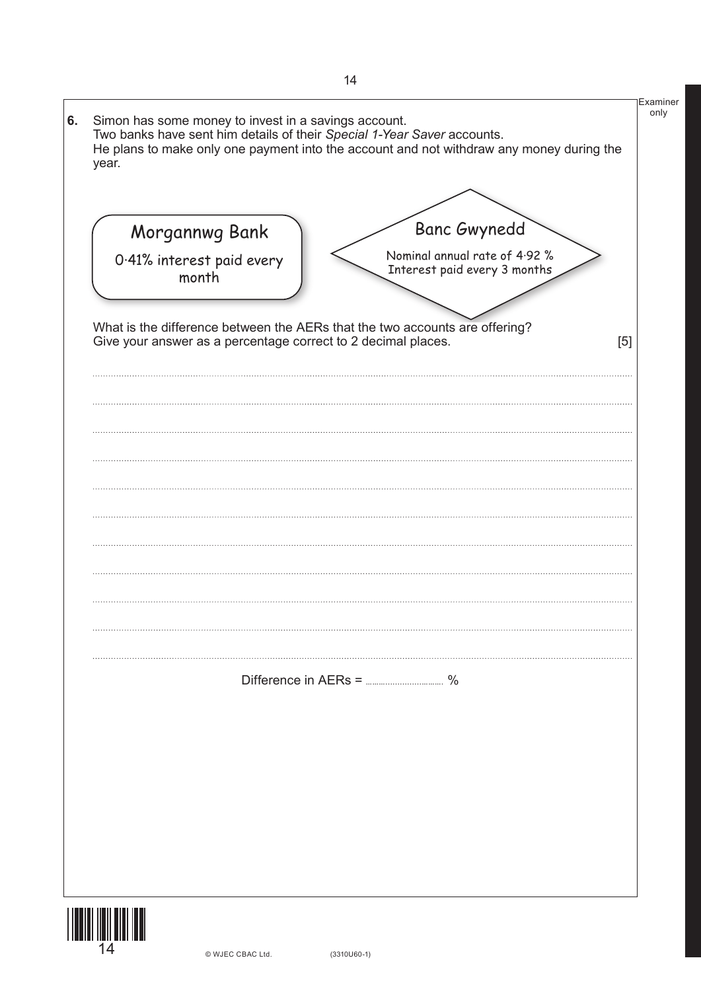| year. | Simon has some money to invest in a savings account.          | Two banks have sent him details of their Special 1-Year Saver accounts.<br>He plans to make only one payment into the account and not withdraw any money during the | only  |
|-------|---------------------------------------------------------------|---------------------------------------------------------------------------------------------------------------------------------------------------------------------|-------|
|       |                                                               |                                                                                                                                                                     |       |
|       | Morgannwg Bank<br>0.41% interest paid every                   | <b>Banc Gwynedd</b><br>Nominal annual rate of 4.92 %                                                                                                                |       |
|       | month                                                         | Interest paid every 3 months                                                                                                                                        |       |
|       | Give your answer as a percentage correct to 2 decimal places. | What is the difference between the AERs that the two accounts are offering?                                                                                         | $[5]$ |
|       |                                                               |                                                                                                                                                                     |       |
|       |                                                               |                                                                                                                                                                     |       |
|       |                                                               |                                                                                                                                                                     |       |
|       |                                                               |                                                                                                                                                                     |       |
|       |                                                               |                                                                                                                                                                     |       |
|       |                                                               |                                                                                                                                                                     |       |
|       |                                                               |                                                                                                                                                                     |       |
|       |                                                               |                                                                                                                                                                     |       |
|       |                                                               |                                                                                                                                                                     |       |
|       |                                                               |                                                                                                                                                                     |       |
|       |                                                               |                                                                                                                                                                     |       |
|       |                                                               |                                                                                                                                                                     |       |
|       |                                                               |                                                                                                                                                                     |       |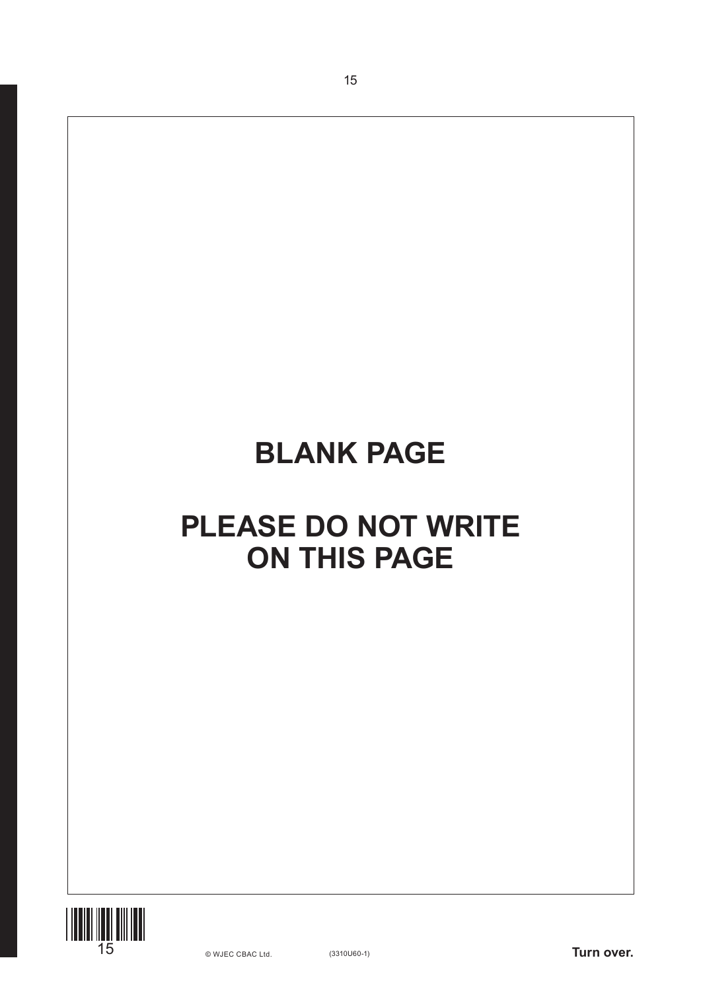15

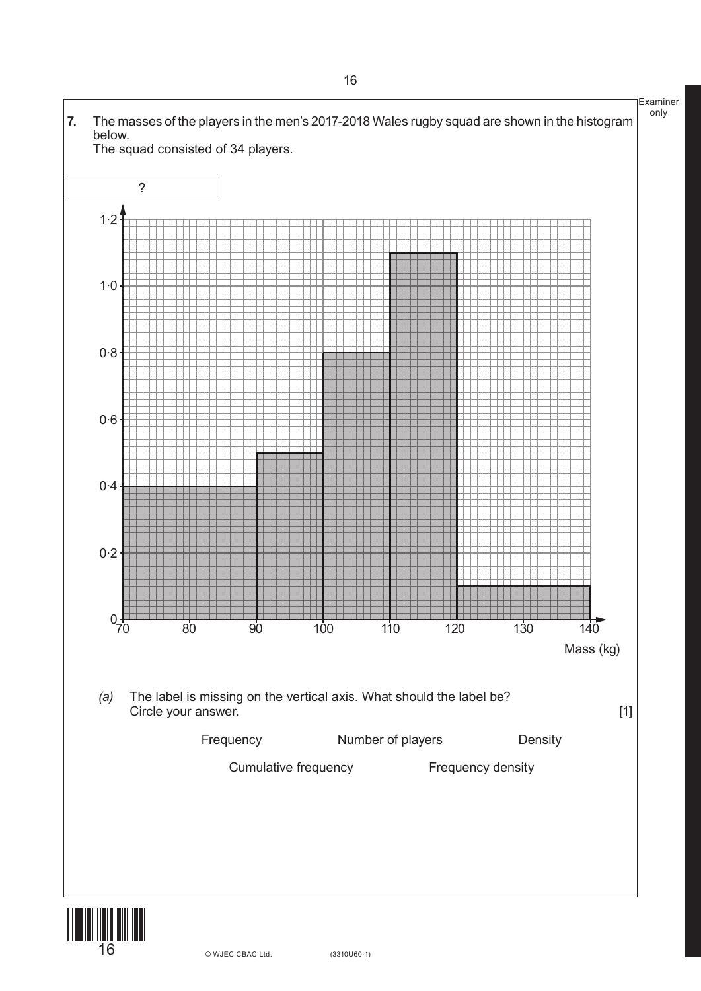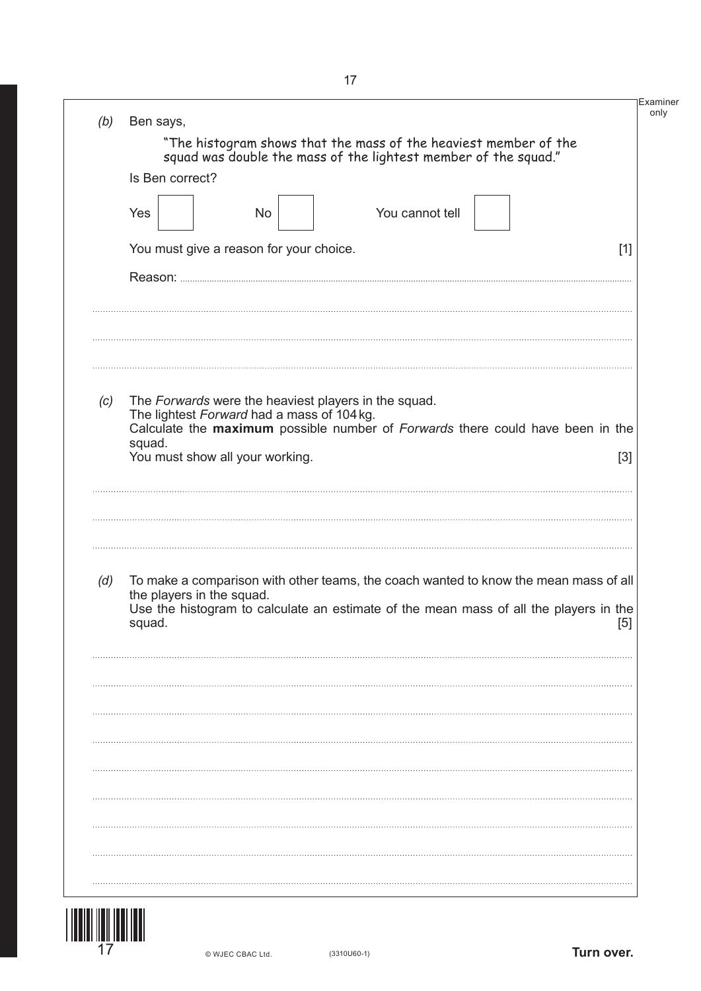| "The histogram shows that the mass of the heaviest member of the squad was double the mass of the lightest member of the squad."<br>Is Ben correct?<br>You cannot tell<br>Yes<br>No<br>You must give a reason for your choice.<br>$[1]$<br>The Forwards were the heaviest players in the squad.<br>(c)<br>The lightest Forward had a mass of 104 kg.<br>Calculate the maximum possible number of Forwards there could have been in the<br>squad.<br>You must show all your working.<br>$[3]$<br>To make a comparison with other teams, the coach wanted to know the mean mass of all<br>the players in the squad.<br>Use the histogram to calculate an estimate of the mean mass of all the players in the<br>[5]<br>squad. | (b) | Ben says, |  |
|-----------------------------------------------------------------------------------------------------------------------------------------------------------------------------------------------------------------------------------------------------------------------------------------------------------------------------------------------------------------------------------------------------------------------------------------------------------------------------------------------------------------------------------------------------------------------------------------------------------------------------------------------------------------------------------------------------------------------------|-----|-----------|--|
|                                                                                                                                                                                                                                                                                                                                                                                                                                                                                                                                                                                                                                                                                                                             |     |           |  |
|                                                                                                                                                                                                                                                                                                                                                                                                                                                                                                                                                                                                                                                                                                                             |     |           |  |
|                                                                                                                                                                                                                                                                                                                                                                                                                                                                                                                                                                                                                                                                                                                             |     |           |  |
|                                                                                                                                                                                                                                                                                                                                                                                                                                                                                                                                                                                                                                                                                                                             |     |           |  |
|                                                                                                                                                                                                                                                                                                                                                                                                                                                                                                                                                                                                                                                                                                                             |     |           |  |
|                                                                                                                                                                                                                                                                                                                                                                                                                                                                                                                                                                                                                                                                                                                             |     |           |  |
|                                                                                                                                                                                                                                                                                                                                                                                                                                                                                                                                                                                                                                                                                                                             |     |           |  |
|                                                                                                                                                                                                                                                                                                                                                                                                                                                                                                                                                                                                                                                                                                                             |     |           |  |
|                                                                                                                                                                                                                                                                                                                                                                                                                                                                                                                                                                                                                                                                                                                             |     |           |  |
|                                                                                                                                                                                                                                                                                                                                                                                                                                                                                                                                                                                                                                                                                                                             | (d) |           |  |
|                                                                                                                                                                                                                                                                                                                                                                                                                                                                                                                                                                                                                                                                                                                             |     |           |  |
|                                                                                                                                                                                                                                                                                                                                                                                                                                                                                                                                                                                                                                                                                                                             |     |           |  |
|                                                                                                                                                                                                                                                                                                                                                                                                                                                                                                                                                                                                                                                                                                                             |     |           |  |
|                                                                                                                                                                                                                                                                                                                                                                                                                                                                                                                                                                                                                                                                                                                             |     |           |  |
|                                                                                                                                                                                                                                                                                                                                                                                                                                                                                                                                                                                                                                                                                                                             |     |           |  |
|                                                                                                                                                                                                                                                                                                                                                                                                                                                                                                                                                                                                                                                                                                                             |     |           |  |

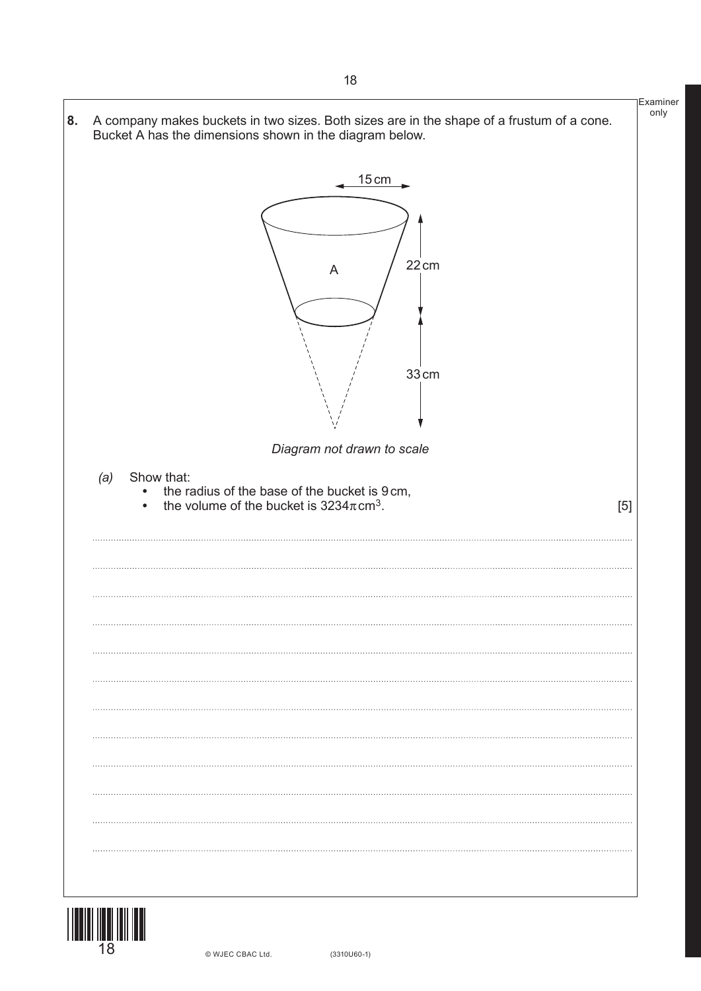



© WJEC CBAC Ltd.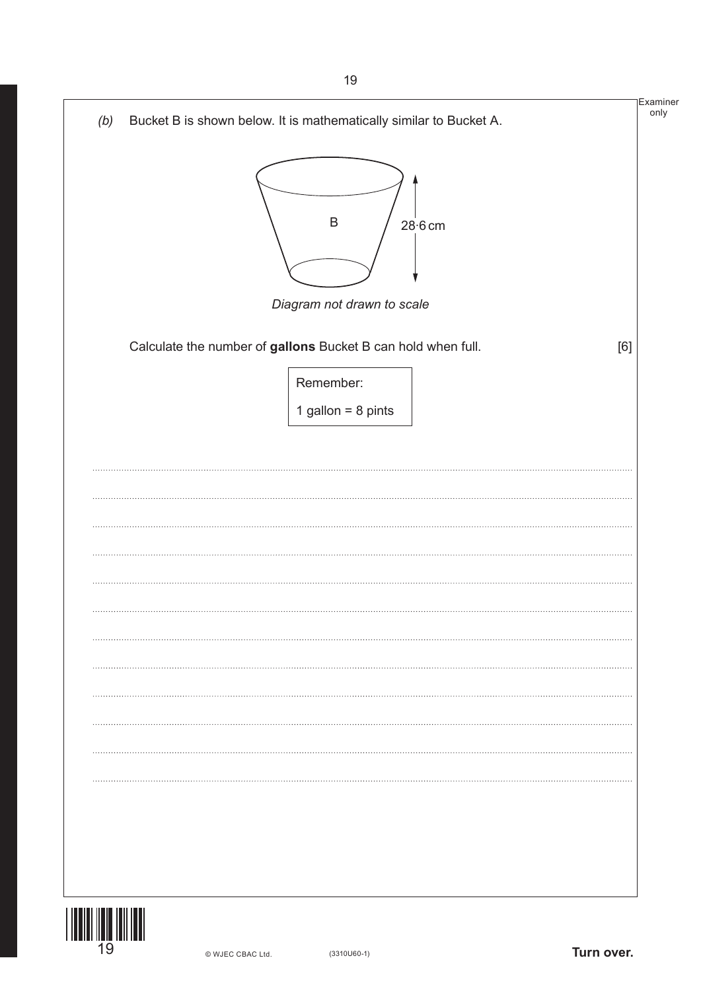| Bucket B is shown below. It is mathematically similar to Bucket A. |     |
|--------------------------------------------------------------------|-----|
| $\mathsf B$<br>$28·6$ cm                                           |     |
| Diagram not drawn to scale                                         |     |
| Calculate the number of gallons Bucket B can hold when full.       | [6] |
| Remember:                                                          |     |
| 1 gallon = $8$ pints                                               |     |
|                                                                    |     |
|                                                                    |     |
|                                                                    |     |
|                                                                    |     |
|                                                                    |     |
|                                                                    |     |
|                                                                    |     |
|                                                                    |     |
|                                                                    |     |
|                                                                    |     |
|                                                                    |     |
|                                                                    |     |
|                                                                    |     |
|                                                                    |     |
|                                                                    |     |
|                                                                    |     |
|                                                                    |     |
|                                                                    |     |
|                                                                    |     |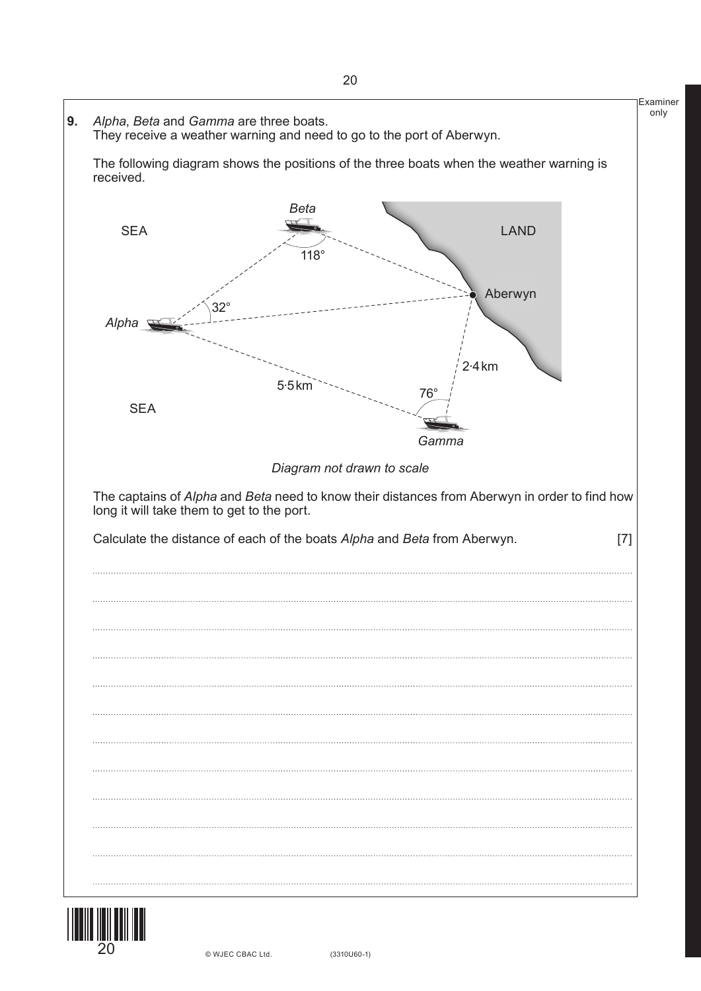



20 © WJEC CBAC Ltd.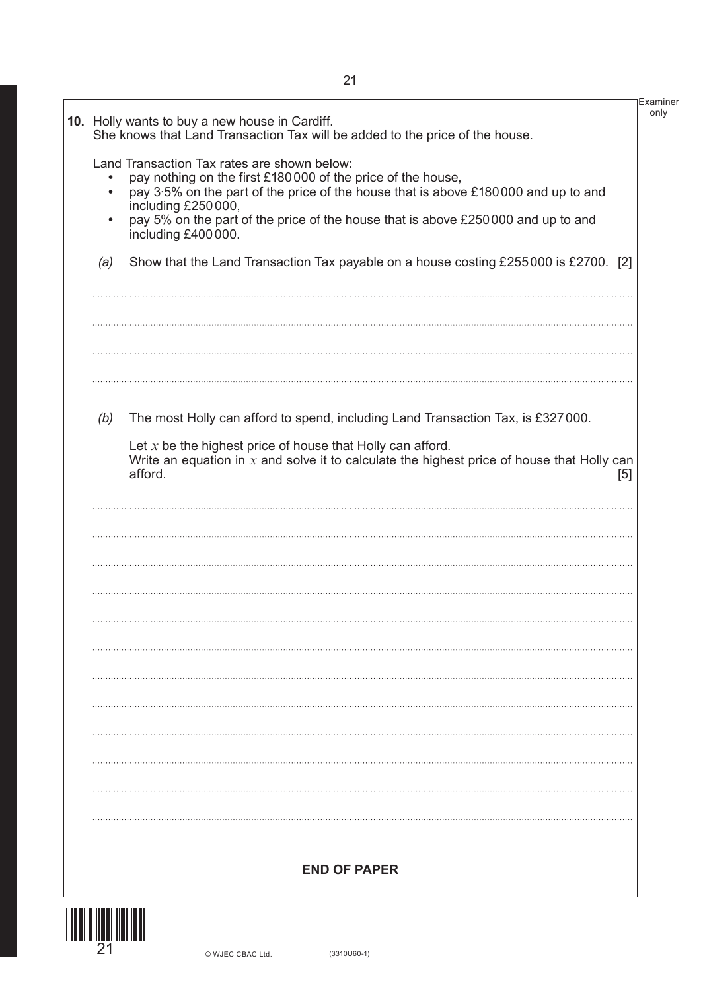|                              | 10. Holly wants to buy a new house in Cardiff.<br>She knows that Land Transaction Tax will be added to the price of the house.                                                                                                                                                                                                   |
|------------------------------|----------------------------------------------------------------------------------------------------------------------------------------------------------------------------------------------------------------------------------------------------------------------------------------------------------------------------------|
| $\bullet$<br>$\bullet$       | Land Transaction Tax rates are shown below:<br>pay nothing on the first £180000 of the price of the house,<br>pay 3.5% on the part of the price of the house that is above £180000 and up to and<br>including £250000,<br>pay 5% on the part of the price of the house that is above £250000 and up to and<br>including £400000. |
| (a)                          | Show that the Land Transaction Tax payable on a house costing £255000 is £2700. [2]                                                                                                                                                                                                                                              |
|                              |                                                                                                                                                                                                                                                                                                                                  |
| (b)                          | The most Holly can afford to spend, including Land Transaction Tax, is £327000.                                                                                                                                                                                                                                                  |
|                              | Let $x$ be the highest price of house that Holly can afford.<br>Write an equation in $x$ and solve it to calculate the highest price of house that Holly can<br>afford.<br>[5]                                                                                                                                                   |
|                              |                                                                                                                                                                                                                                                                                                                                  |
|                              |                                                                                                                                                                                                                                                                                                                                  |
|                              |                                                                                                                                                                                                                                                                                                                                  |
|                              |                                                                                                                                                                                                                                                                                                                                  |
|                              |                                                                                                                                                                                                                                                                                                                                  |
|                              |                                                                                                                                                                                                                                                                                                                                  |
|                              |                                                                                                                                                                                                                                                                                                                                  |
|                              | <b>END OF PAPER</b>                                                                                                                                                                                                                                                                                                              |
| <u> 1 INNIU IUNI IUN IUN</u> |                                                                                                                                                                                                                                                                                                                                  |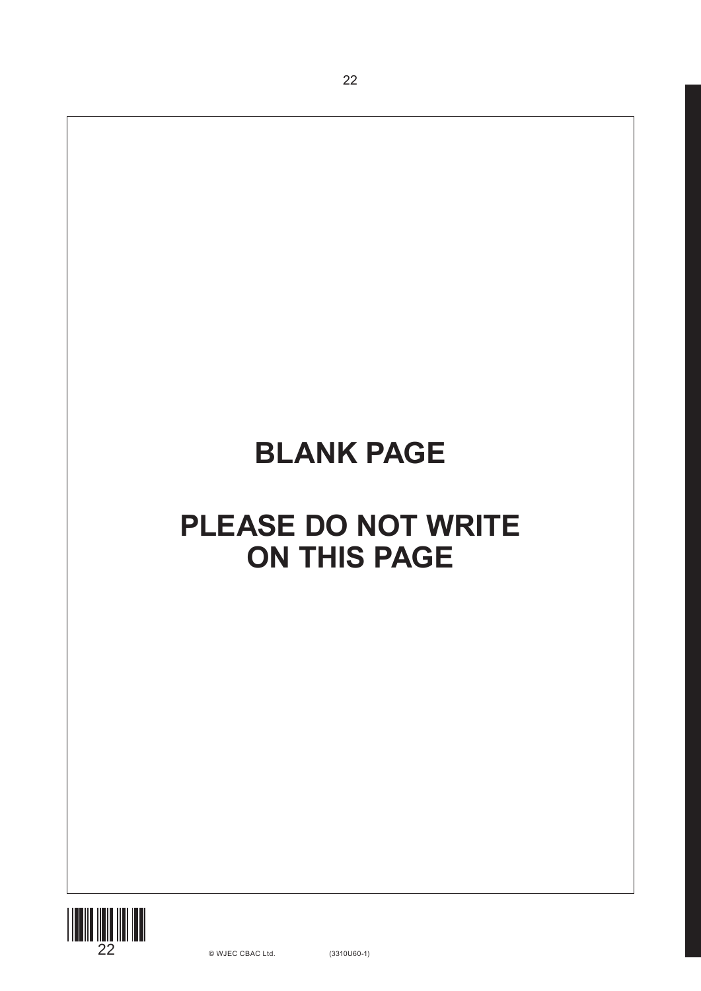22

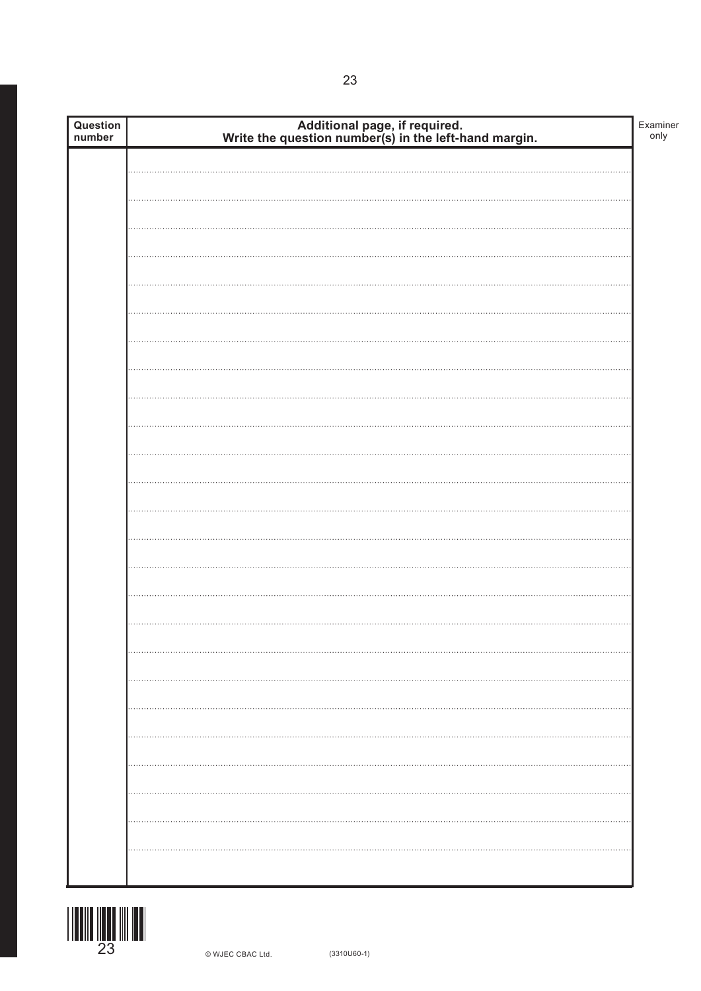| Additional page, if required.<br>Write the question number(s) in the left-hand margin.<br>Question<br>number |  |
|--------------------------------------------------------------------------------------------------------------|--|
|                                                                                                              |  |
|                                                                                                              |  |
|                                                                                                              |  |
|                                                                                                              |  |
|                                                                                                              |  |
|                                                                                                              |  |
|                                                                                                              |  |
|                                                                                                              |  |
|                                                                                                              |  |
|                                                                                                              |  |
|                                                                                                              |  |
|                                                                                                              |  |
|                                                                                                              |  |
|                                                                                                              |  |
|                                                                                                              |  |
|                                                                                                              |  |
|                                                                                                              |  |
|                                                                                                              |  |
|                                                                                                              |  |
|                                                                                                              |  |
|                                                                                                              |  |
|                                                                                                              |  |
|                                                                                                              |  |
|                                                                                                              |  |
|                                                                                                              |  |
|                                                                                                              |  |
|                                                                                                              |  |